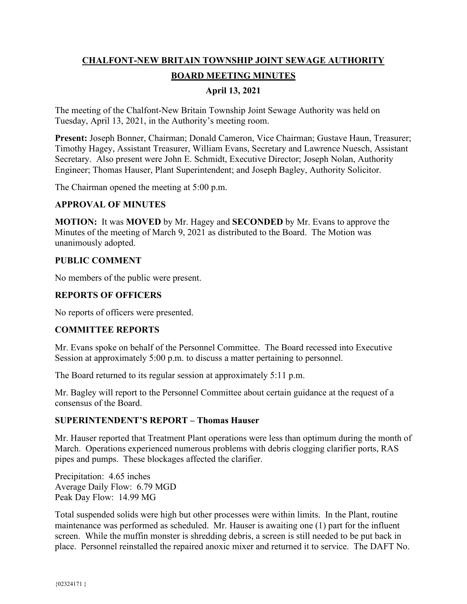# **CHALFONT-NEW BRITAIN TOWNSHIP JOINT SEWAGE AUTHORITY BOARD MEETING MINUTES**

# **April 13, 2021**

The meeting of the Chalfont-New Britain Township Joint Sewage Authority was held on Tuesday, April 13, 2021, in the Authority's meeting room.

**Present:** Joseph Bonner, Chairman; Donald Cameron, Vice Chairman; Gustave Haun, Treasurer; Timothy Hagey, Assistant Treasurer, William Evans, Secretary and Lawrence Nuesch, Assistant Secretary. Also present were John E. Schmidt, Executive Director; Joseph Nolan, Authority Engineer; Thomas Hauser, Plant Superintendent; and Joseph Bagley, Authority Solicitor.

The Chairman opened the meeting at 5:00 p.m.

#### **APPROVAL OF MINUTES**

**MOTION:** It was **MOVED** by Mr. Hagey and **SECONDED** by Mr. Evans to approve the Minutes of the meeting of March 9, 2021 as distributed to the Board. The Motion was unanimously adopted.

## **PUBLIC COMMENT**

No members of the public were present.

## **REPORTS OF OFFICERS**

No reports of officers were presented.

#### **COMMITTEE REPORTS**

Mr. Evans spoke on behalf of the Personnel Committee. The Board recessed into Executive Session at approximately 5:00 p.m. to discuss a matter pertaining to personnel.

The Board returned to its regular session at approximately 5:11 p.m.

Mr. Bagley will report to the Personnel Committee about certain guidance at the request of a consensus of the Board.

#### **SUPERINTENDENT'S REPORT – Thomas Hauser**

Mr. Hauser reported that Treatment Plant operations were less than optimum during the month of March. Operations experienced numerous problems with debris clogging clarifier ports, RAS pipes and pumps. These blockages affected the clarifier.

Precipitation: 4.65 inches Average Daily Flow: 6.79 MGD Peak Day Flow: 14.99 MG

Total suspended solids were high but other processes were within limits. In the Plant, routine maintenance was performed as scheduled. Mr. Hauser is awaiting one (1) part for the influent screen. While the muffin monster is shredding debris, a screen is still needed to be put back in place. Personnel reinstalled the repaired anoxic mixer and returned it to service. The DAFT No.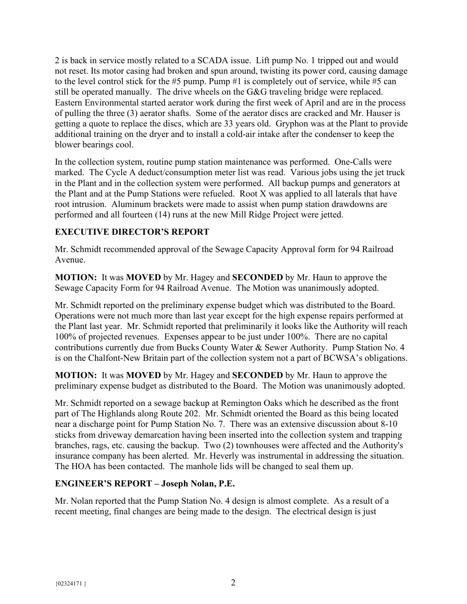2 is back in service mostly related to a SCADA issue. Lift pump No. 1 tripped out and would not reset. Its motor casing had broken and spun around, twisting its power cord, causing damage to the level control stick for the #5 pump. Pump #1 is completely out of service, while #5 can still be operated manually. The drive wheels on the G&G traveling bridge were replaced. Eastern Environmental started aerator work during the first week of April and are in the process of pulling the three (3) aerator shafts. Some of the aerator discs are cracked and Mr. Hauser is getting a quote to replace the discs, which are 33 years old. Gryphon was at the Plant to provide additional training on the dryer and to install a cold-air intake after the condenser to keep the blower bearings cool.

In the collection system, routine pump station maintenance was performed. One-Calls were marked. The Cycle A deduct/consumption meter list was read. Various jobs using the jet truck in the Plant and in the collection system were performed. All backup pumps and generators at the Plant and at the Pump Stations were refueled. Root X was applied to all laterals that have root intrusion. Aluminum brackets were made to assist when pump station drawdowns are performed and all fourteen (14) runs at the new Mill Ridge Project were jetted.

## **EXECUTIVE DIRECTOR'S REPORT**

Mr. Schmidt recommended approval of the Sewage Capacity Approval form for 94 Railroad Avenue.

**MOTION:** It was **MOVED** by Mr. Hagey and **SECONDED** by Mr. Haun to approve the Sewage Capacity Form for 94 Railroad Avenue. The Motion was unanimously adopted.

Mr. Schmidt reported on the preliminary expense budget which was distributed to the Board. Operations were not much more than last year except for the high expense repairs performed at the Plant last year. Mr. Schmidt reported that preliminarily it looks like the Authority will reach 100% of projected revenues. Expenses appear to be just under 100%. There are no capital contributions currently due from Bucks County Water & Sewer Authority. Pump Station No. 4 is on the Chalfont-New Britain part of the collection system not a part of BCWSA's obligations.

**MOTION:** It was **MOVED** by Mr. Hagey and **SECONDED** by Mr. Haun to approve the preliminary expense budget as distributed to the Board. The Motion was unanimously adopted.

Mr. Schmidt reported on a sewage backup at Remington Oaks which he described as the front part of The Highlands along Route 202. Mr. Schmidt oriented the Board as this being located near a discharge point for Pump Station No. 7. There was an extensive discussion about 8-10 sticks from driveway demarcation having been inserted into the collection system and trapping branches, rags, etc. causing the backup. Two (2) townhouses were affected and the Authority's insurance company has been alerted. Mr. Heverly was instrumental in addressing the situation. The HOA has been contacted. The manhole lids will be changed to seal them up.

## **ENGINEER'S REPORT – Joseph Nolan, P.E.**

Mr. Nolan reported that the Pump Station No. 4 design is almost complete. As a result of a recent meeting, final changes are being made to the design. The electrical design is just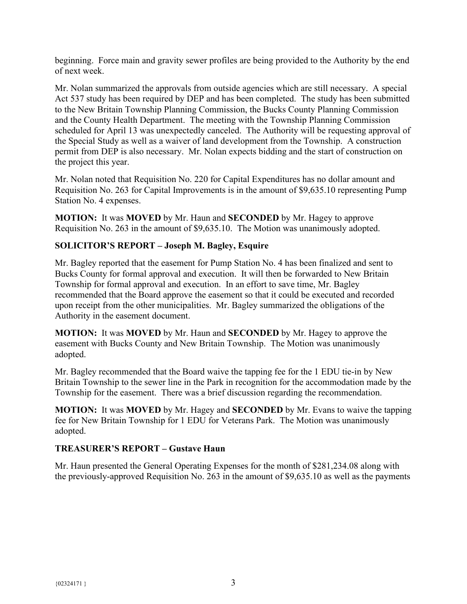beginning. Force main and gravity sewer profiles are being provided to the Authority by the end of next week.

Mr. Nolan summarized the approvals from outside agencies which are still necessary. A special Act 537 study has been required by DEP and has been completed. The study has been submitted to the New Britain Township Planning Commission, the Bucks County Planning Commission and the County Health Department. The meeting with the Township Planning Commission scheduled for April 13 was unexpectedly canceled. The Authority will be requesting approval of the Special Study as well as a waiver of land development from the Township. A construction permit from DEP is also necessary. Mr. Nolan expects bidding and the start of construction on the project this year.

Mr. Nolan noted that Requisition No. 220 for Capital Expenditures has no dollar amount and Requisition No. 263 for Capital Improvements is in the amount of \$9,635.10 representing Pump Station No. 4 expenses.

**MOTION:** It was **MOVED** by Mr. Haun and **SECONDED** by Mr. Hagey to approve Requisition No. 263 in the amount of \$9,635.10. The Motion was unanimously adopted.

## **SOLICITOR'S REPORT – Joseph M. Bagley, Esquire**

Mr. Bagley reported that the easement for Pump Station No. 4 has been finalized and sent to Bucks County for formal approval and execution. It will then be forwarded to New Britain Township for formal approval and execution. In an effort to save time, Mr. Bagley recommended that the Board approve the easement so that it could be executed and recorded upon receipt from the other municipalities. Mr. Bagley summarized the obligations of the Authority in the easement document.

**MOTION:** It was **MOVED** by Mr. Haun and **SECONDED** by Mr. Hagey to approve the easement with Bucks County and New Britain Township. The Motion was unanimously adopted.

Mr. Bagley recommended that the Board waive the tapping fee for the 1 EDU tie-in by New Britain Township to the sewer line in the Park in recognition for the accommodation made by the Township for the easement. There was a brief discussion regarding the recommendation.

**MOTION:** It was **MOVED** by Mr. Hagey and **SECONDED** by Mr. Evans to waive the tapping fee for New Britain Township for 1 EDU for Veterans Park. The Motion was unanimously adopted.

## **TREASURER'S REPORT – Gustave Haun**

Mr. Haun presented the General Operating Expenses for the month of \$281,234.08 along with the previously-approved Requisition No. 263 in the amount of \$9,635.10 as well as the payments